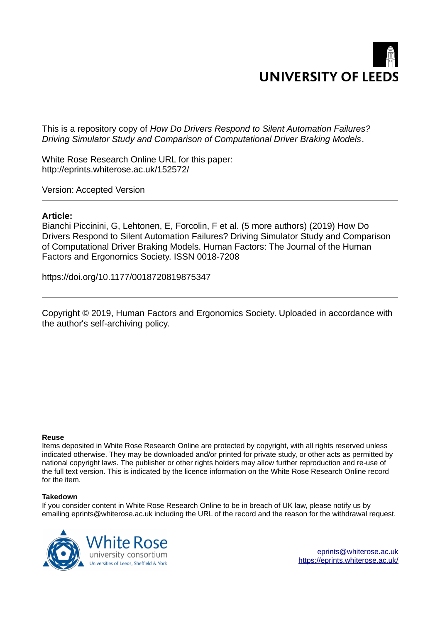

This is a repository copy of *How Do Drivers Respond to Silent Automation Failures? Driving Simulator Study and Comparison of Computational Driver Braking Models*.

White Rose Research Online URL for this paper: http://eprints.whiterose.ac.uk/152572/

Version: Accepted Version

#### **Article:**

Bianchi Piccinini, G, Lehtonen, E, Forcolin, F et al. (5 more authors) (2019) How Do Drivers Respond to Silent Automation Failures? Driving Simulator Study and Comparison of Computational Driver Braking Models. Human Factors: The Journal of the Human Factors and Ergonomics Society. ISSN 0018-7208

https://doi.org/10.1177/0018720819875347

Copyright © 2019, Human Factors and Ergonomics Society. Uploaded in accordance with the author's self-archiving policy.

#### **Reuse**

Items deposited in White Rose Research Online are protected by copyright, with all rights reserved unless indicated otherwise. They may be downloaded and/or printed for private study, or other acts as permitted by national copyright laws. The publisher or other rights holders may allow further reproduction and re-use of the full text version. This is indicated by the licence information on the White Rose Research Online record for the item.

#### **Takedown**

If you consider content in White Rose Research Online to be in breach of UK law, please notify us by emailing eprints@whiterose.ac.uk including the URL of the record and the reason for the withdrawal request.

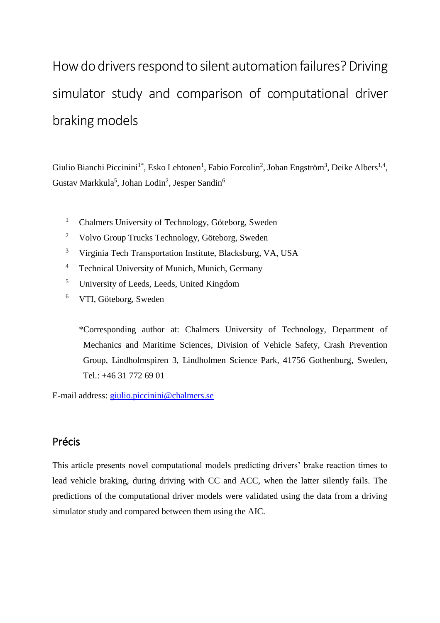# How do drivers respond to silent automation failures? Driving simulator study and comparison of computational driver braking models

Giulio Bianchi Piccinini<sup>1\*</sup>, Esko Lehtonen<sup>1</sup>, Fabio Forcolin<sup>2</sup>, Johan Engström<sup>3</sup>, Deike Albers<sup>1,4</sup>, Gustav Markkula<sup>5</sup>, Johan Lodin<sup>2</sup>, Jesper Sandin<sup>6</sup>

- <sup>1</sup> Chalmers University of Technology, Göteborg, Sweden
- <sup>2</sup> Volvo Group Trucks Technology, Göteborg, Sweden
- <sup>3</sup> Virginia Tech Transportation Institute, Blacksburg, VA, USA
- <sup>4</sup> Technical University of Munich, Munich, Germany
- <sup>5</sup> University of Leeds, Leeds, United Kingdom
- <sup>6</sup> VTI, Göteborg, Sweden

\*Corresponding author at: Chalmers University of Technology, Department of Mechanics and Maritime Sciences, Division of Vehicle Safety, Crash Prevention Group, Lindholmspiren 3, Lindholmen Science Park, 41756 Gothenburg, Sweden, Tel.: +46 31 772 69 01

E-mail address: giulio.piccinini@chalmers.se

## Précis

This article presents novel computational models predicting drivers' brake reaction times to lead vehicle braking, during driving with CC and ACC, when the latter silently fails. The predictions of the computational driver models were validated using the data from a driving simulator study and compared between them using the AIC.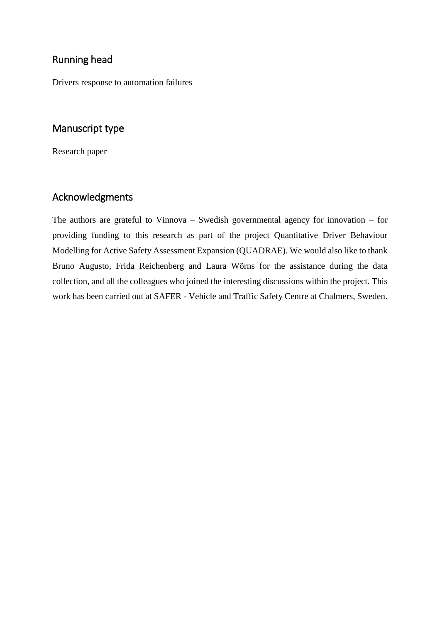## Running head

Drivers response to automation failures

# Manuscript type

Research paper

## Acknowledgments

The authors are grateful to Vinnova – Swedish governmental agency for innovation – for providing funding to this research as part of the project Quantitative Driver Behaviour Modelling for Active Safety Assessment Expansion (QUADRAE). We would also like to thank Bruno Augusto, Frida Reichenberg and Laura Wörns for the assistance during the data collection, and all the colleagues who joined the interesting discussions within the project. This work has been carried out at SAFER - Vehicle and Traffic Safety Centre at Chalmers, Sweden.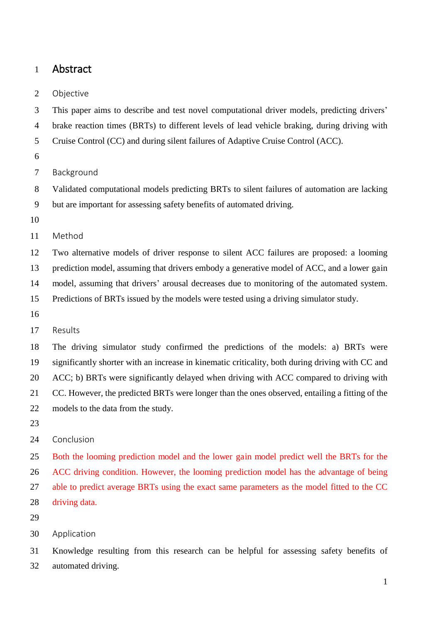## 1 Abstract

#### 2 Objective

3 This paper aims to describe and test novel computational driver models, predicting drivers'

- 4 brake reaction times (BRTs) to different levels of lead vehicle braking, during driving with
- 5 Cruise Control (CC) and during silent failures of Adaptive Cruise Control (ACC).
- 6
- 7 Background
- 8 Validated computational models predicting BRTs to silent failures of automation are lacking 9 but are important for assessing safety benefits of automated driving.
- 10

11 Method

12 Two alternative models of driver response to silent ACC failures are proposed: a looming

13 prediction model, assuming that drivers embody a generative model of ACC, and a lower gain

14 model, assuming that drivers' arousal decreases due to monitoring of the automated system.

15 Predictions of BRTs issued by the models were tested using a driving simulator study.

- 16
- 17 Results

18 The driving simulator study confirmed the predictions of the models: a) BRTs were 19 significantly shorter with an increase in kinematic criticality, both during driving with CC and 20 ACC; b) BRTs were significantly delayed when driving with ACC compared to driving with 21 CC. However, the predicted BRTs were longer than the ones observed, entailing a fitting of the 22 models to the data from the study.

23

24 Conclusion

25 Both the looming prediction model and the lower gain model predict well the BRTs for the 26 ACC driving condition. However, the looming prediction model has the advantage of being 27 able to predict average BRTs using the exact same parameters as the model fitted to the CC 28 driving data.

- 29
- 30 Application

31 Knowledge resulting from this research can be helpful for assessing safety benefits of 32 automated driving.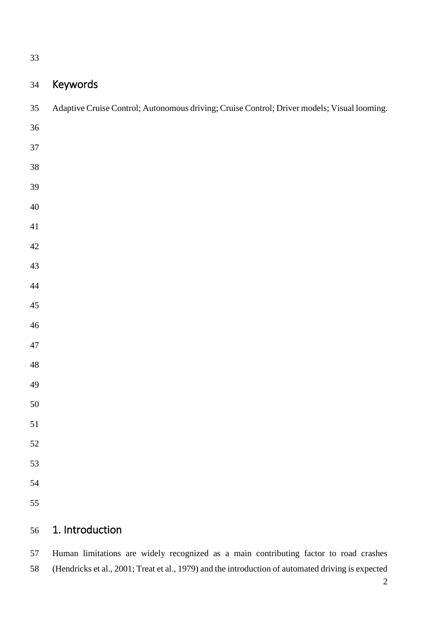# Keywords

| 35          | Adaptive Cruise Control; Autonomous driving; Cruise Control; Driver models; Visual looming. |
|-------------|---------------------------------------------------------------------------------------------|
| $36\,$      |                                                                                             |
| 37          |                                                                                             |
| $38\,$      |                                                                                             |
| 39          |                                                                                             |
| $40\,$      |                                                                                             |
| $41\,$      |                                                                                             |
| $42\,$      |                                                                                             |
| $43\,$      |                                                                                             |
| $44\,$      |                                                                                             |
| $45\,$      |                                                                                             |
| $46\,$      |                                                                                             |
| $47\,$      |                                                                                             |
| $\sqrt{48}$ |                                                                                             |
| 49          |                                                                                             |
| $50\,$      |                                                                                             |
| 51          |                                                                                             |
| $52\,$      |                                                                                             |
| 53          |                                                                                             |
| 54          |                                                                                             |
| 55          |                                                                                             |
| 56          | 1. Introduction                                                                             |

57 Human limitations are widely recognized as a main contributing factor to road crashes 58 (Hendricks et al., 2001; Treat et al., 1979) and the introduction of automated driving is expected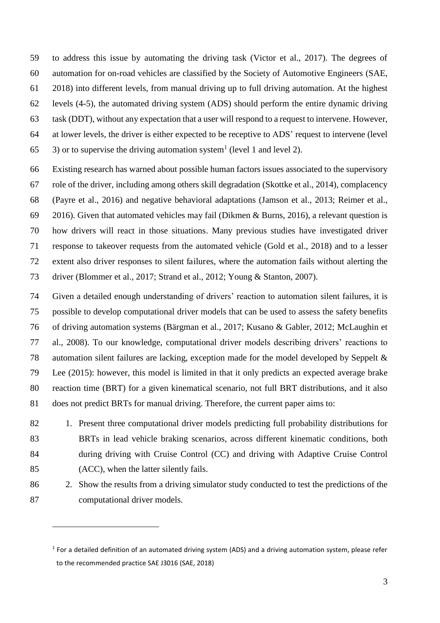59 to address this issue by automating the driving task (Victor et al., 2017). The degrees of 60 automation for on-road vehicles are classified by the Society of Automotive Engineers (SAE, 61 2018) into different levels, from manual driving up to full driving automation. At the highest 62 levels (4-5), the automated driving system (ADS) should perform the entire dynamic driving 63 task (DDT), without any expectation that a user will respond to a request to intervene. However, 64 at lower levels, the driver is either expected to be receptive to ADS' request to intervene (level 65  $\,$  3) or to supervise the driving automation system<sup>1</sup> (level 1 and level 2).

66 Existing research has warned about possible human factors issues associated to the supervisory 67 role of the driver, including among others skill degradation (Skottke et al., 2014), complacency 68 (Payre et al., 2016) and negative behavioral adaptations (Jamson et al., 2013; Reimer et al., 69 2016). Given that automated vehicles may fail (Dikmen & Burns, 2016), a relevant question is 70 how drivers will react in those situations. Many previous studies have investigated driver 71 response to takeover requests from the automated vehicle (Gold et al., 2018) and to a lesser 72 extent also driver responses to silent failures, where the automation fails without alerting the 73 driver (Blommer et al., 2017; Strand et al., 2012; Young & Stanton, 2007).

74 Given a detailed enough understanding of drivers' reaction to automation silent failures, it is 75 possible to develop computational driver models that can be used to assess the safety benefits 76 of driving automation systems (Bärgman et al., 2017; Kusano & Gabler, 2012; McLaughin et 77 al., 2008). To our knowledge, computational driver models describing drivers' reactions to 78 automation silent failures are lacking, exception made for the model developed by Seppelt & 79 Lee (2015): however, this model is limited in that it only predicts an expected average brake 80 reaction time (BRT) for a given kinematical scenario, not full BRT distributions, and it also 81 does not predict BRTs for manual driving. Therefore, the current paper aims to:

- 82 1. Present three computational driver models predicting full probability distributions for 83 BRTs in lead vehicle braking scenarios, across different kinematic conditions, both 84 during driving with Cruise Control (CC) and driving with Adaptive Cruise Control 85 (ACC), when the latter silently fails.
- 86 2. Show the results from a driving simulator study conducted to test the predictions of the 87 computational driver models.

 $\overline{a}$ 

<sup>&</sup>lt;sup>1</sup> For a detailed definition of an automated driving system (ADS) and a driving automation system, please refer to the recommended practice SAE J3016 (SAE, 2018)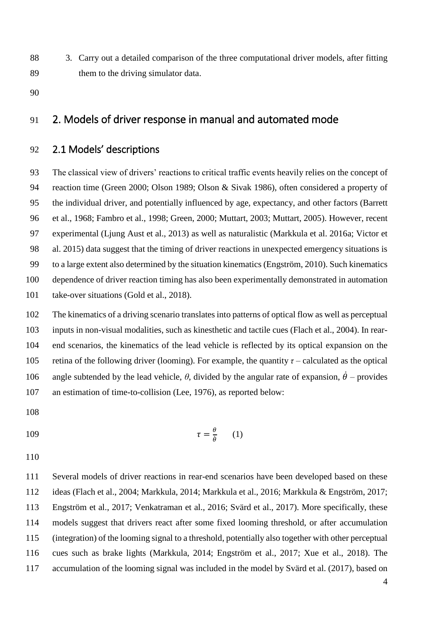- 88 3. Carry out a detailed comparison of the three computational driver models, after fitting 89 them to the driving simulator data.
- 90

# 91 2. Models of driver response in manual and automated mode

## 92 2.1 Models' descriptions

93 The classical view of drivers' reactions to critical traffic events heavily relies on the concept of 94 reaction time (Green 2000; Olson 1989; Olson & Sivak 1986), often considered a property of 95 the individual driver, and potentially influenced by age, expectancy, and other factors (Barrett 96 et al., 1968; Fambro et al., 1998; Green, 2000; Muttart, 2003; Muttart, 2005). However, recent 97 experimental (Ljung Aust et al., 2013) as well as naturalistic (Markkula et al. 2016a; Victor et 98 al. 2015) data suggest that the timing of driver reactions in unexpected emergency situations is 99 to a large extent also determined by the situation kinematics (Engström, 2010). Such kinematics 100 dependence of driver reaction timing has also been experimentally demonstrated in automation 101 take-over situations (Gold et al., 2018).

102 The kinematics of a driving scenario translates into patterns of optical flow as well as perceptual 103 inputs in non-visual modalities, such as kinesthetic and tactile cues (Flach et al., 2004). In rear-104 end scenarios, the kinematics of the lead vehicle is reflected by its optical expansion on the 105 retina of the following driver (looming). For example, the quantity  $\tau$  – calculated as the optical 106 angle subtended by the lead vehicle,  $\theta$ , divided by the angular rate of expansion,  $\dot{\theta}$  – provides 107 an estimation of time-to-collision (Lee, 1976), as reported below:

108

$$
\tau = \frac{\theta}{\dot{\theta}} \qquad (1)
$$

110

111 Several models of driver reactions in rear-end scenarios have been developed based on these 112 ideas (Flach et al., 2004; Markkula, 2014; Markkula et al., 2016; Markkula & Engström, 2017; 113 Engström et al., 2017; Venkatraman et al., 2016; Svärd et al., 2017). More specifically, these 114 models suggest that drivers react after some fixed looming threshold, or after accumulation 115 (integration) of the looming signal to a threshold, potentially also together with other perceptual 116 cues such as brake lights (Markkula, 2014; Engström et al., 2017; Xue et al., 2018). The 117 accumulation of the looming signal was included in the model by Svärd et al. (2017), based on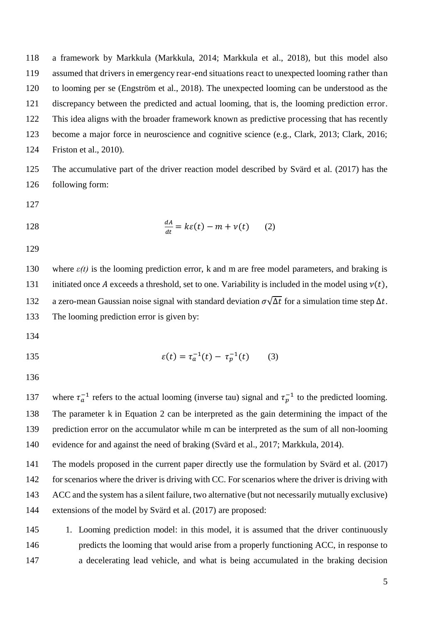118 a framework by Markkula (Markkula, 2014; Markkula et al., 2018), but this model also 119 assumed that drivers in emergency rear-end situations react to unexpected looming rather than 120 to looming per se (Engström et al., 2018). The unexpected looming can be understood as the 121 discrepancy between the predicted and actual looming, that is, the looming prediction error. 122 This idea aligns with the broader framework known as predictive processing that has recently 123 become a major force in neuroscience and cognitive science (e.g., Clark, 2013; Clark, 2016; 124 Friston et al., 2010).

125 The accumulative part of the driver reaction model described by Svärd et al. (2017) has the 126 following form:

127

128 
$$
\frac{dA}{dt} = k\varepsilon(t) - m + v(t) \qquad (2)
$$

129

130 where  $\varepsilon(t)$  is the looming prediction error, k and m are free model parameters, and braking is 131 initiated once A exceeds a threshold, set to one. Variability is included in the model using  $v(t)$ , 132 a zero-mean Gaussian noise signal with standard deviation  $\sigma \sqrt{\Delta t}$  for a simulation time step  $\Delta t$ . 133 The looming prediction error is given by:

134

135 
$$
\varepsilon(t) = \tau_a^{-1}(t) - \tau_p^{-1}(t) \qquad (3)
$$

136

137 where  $\tau_a^{-1}$  refers to the actual looming (inverse tau) signal and  $\tau_p^{-1}$  to the predicted looming. 138 The parameter k in Equation 2 can be interpreted as the gain determining the impact of the 139 prediction error on the accumulator while m can be interpreted as the sum of all non-looming 140 evidence for and against the need of braking (Svärd et al., 2017; Markkula, 2014).

141 The models proposed in the current paper directly use the formulation by Svärd et al. (2017) 142 for scenarios where the driver is driving with CC. For scenarios where the driver is driving with 143 ACC and the system has a silent failure, two alternative (but not necessarily mutually exclusive) 144 extensions of the model by Svärd et al. (2017) are proposed:

145 1. Looming prediction model: in this model, it is assumed that the driver continuously 146 predicts the looming that would arise from a properly functioning ACC, in response to 147 a decelerating lead vehicle, and what is being accumulated in the braking decision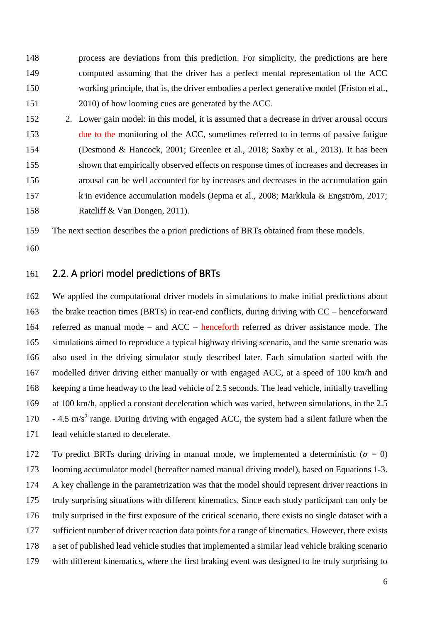148 process are deviations from this prediction. For simplicity, the predictions are here 149 computed assuming that the driver has a perfect mental representation of the ACC 150 working principle, that is, the driver embodies a perfect generative model (Friston et al., 151 2010) of how looming cues are generated by the ACC.

152 2. Lower gain model: in this model, it is assumed that a decrease in driver arousal occurs 153 due to the monitoring of the ACC, sometimes referred to in terms of passive fatigue 154 (Desmond & Hancock, 2001; Greenlee et al., 2018; Saxby et al., 2013). It has been 155 shown that empirically observed effects on response times of increases and decreases in 156 arousal can be well accounted for by increases and decreases in the accumulation gain 157 k in evidence accumulation models (Jepma et al., 2008; Markkula & Engström, 2017; 158 Ratcliff & Van Dongen, 2011).

159 The next section describes the a priori predictions of BRTs obtained from these models.

160

## 161 2.2. A priori model predictions of BRTs

162 We applied the computational driver models in simulations to make initial predictions about 163 the brake reaction times (BRTs) in rear-end conflicts, during driving with CC – henceforward 164 referred as manual mode – and ACC – henceforth referred as driver assistance mode. The 165 simulations aimed to reproduce a typical highway driving scenario, and the same scenario was 166 also used in the driving simulator study described later. Each simulation started with the 167 modelled driver driving either manually or with engaged ACC, at a speed of 100 km/h and 168 keeping a time headway to the lead vehicle of 2.5 seconds. The lead vehicle, initially travelling 169 at 100 km/h, applied a constant deceleration which was varied, between simulations, in the 2.5 170  $-4.5 \text{ m/s}^2$  range. During driving with engaged ACC, the system had a silent failure when the 171 lead vehicle started to decelerate.

172 To predict BRTs during driving in manual mode, we implemented a deterministic ( $\sigma = 0$ ) 173 looming accumulator model (hereafter named manual driving model), based on Equations 1-3. 174 A key challenge in the parametrization was that the model should represent driver reactions in 175 truly surprising situations with different kinematics. Since each study participant can only be 176 truly surprised in the first exposure of the critical scenario, there exists no single dataset with a 177 sufficient number of driver reaction data points for a range of kinematics. However, there exists 178 a set of published lead vehicle studies that implemented a similar lead vehicle braking scenario 179 with different kinematics, where the first braking event was designed to be truly surprising to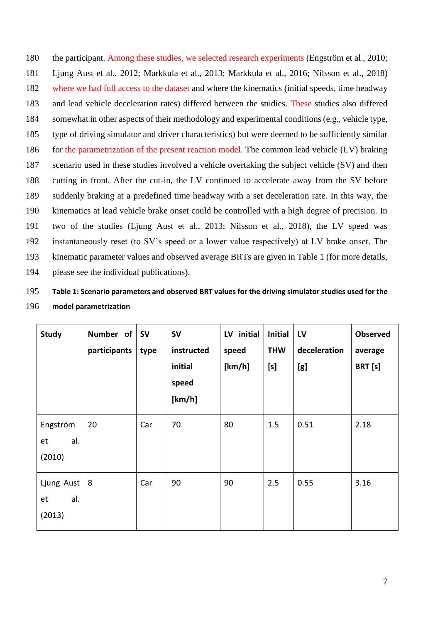180 the participant. Among these studies, we selected research experiments (Engström et al., 2010; 181 Ljung Aust et al., 2012; Markkula et al., 2013; Markkula et al., 2016; Nilsson et al., 2018) 182 where we had full access to the dataset and where the kinematics (initial speeds, time headway 183 and lead vehicle deceleration rates) differed between the studies. These studies also differed 184 somewhat in other aspects of their methodology and experimental conditions (e.g., vehicle type, 185 type of driving simulator and driver characteristics) but were deemed to be sufficiently similar 186 for the parametrization of the present reaction model. The common lead vehicle (LV) braking 187 scenario used in these studies involved a vehicle overtaking the subject vehicle (SV) and then 188 cutting in front. After the cut-in, the LV continued to accelerate away from the SV before 189 suddenly braking at a predefined time headway with a set deceleration rate. In this way, the 190 kinematics at lead vehicle brake onset could be controlled with a high degree of precision. In 191 two of the studies (Ljung Aust et al., 2013; Nilsson et al., 2018), the LV speed was 192 instantaneously reset (to SV's speed or a lower value respectively) at LV brake onset. The 193 kinematic parameter values and observed average BRTs are given in Table 1 (for more details, 194 please see the individual publications).

# 195 **Table 1: Scenario parameters and observed BRT values for the driving simulator studies used for the**  196 **model parametrization**

| <b>Study</b>                      | Number of<br>participants | <b>SV</b><br>type | <b>SV</b><br>instructed<br>initial<br>speed<br>[km/h] | LV initial<br>speed<br>[km/h] | <b>Initial</b><br><b>THW</b><br>[s] | L <sub>V</sub><br>deceleration<br>[g] | <b>Observed</b><br>average<br>BRT [s] |
|-----------------------------------|---------------------------|-------------------|-------------------------------------------------------|-------------------------------|-------------------------------------|---------------------------------------|---------------------------------------|
| Engström<br>al.<br>et<br>(2010)   | 20                        | Car               | 70                                                    | 80                            | 1.5                                 | 0.51                                  | 2.18                                  |
| Ljung Aust<br>al.<br>et<br>(2013) | 8                         | Car               | 90                                                    | 90                            | 2.5                                 | 0.55                                  | 3.16                                  |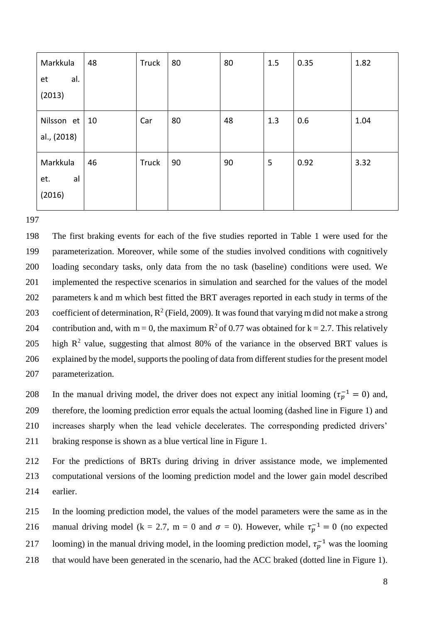| Markkula    | 48 | Truck | 80 | 80 | 1.5 | 0.35 | 1.82 |
|-------------|----|-------|----|----|-----|------|------|
| al.<br>et   |    |       |    |    |     |      |      |
| (2013)      |    |       |    |    |     |      |      |
| Nilsson et  | 10 | Car   | 80 | 48 | 1.3 | 0.6  | 1.04 |
| al., (2018) |    |       |    |    |     |      |      |
| Markkula    | 46 | Truck | 90 | 90 | 5   | 0.92 | 3.32 |
| al<br>et.   |    |       |    |    |     |      |      |
| (2016)      |    |       |    |    |     |      |      |
|             |    |       |    |    |     |      |      |

197

198 The first braking events for each of the five studies reported in Table 1 were used for the 199 parameterization. Moreover, while some of the studies involved conditions with cognitively 200 loading secondary tasks, only data from the no task (baseline) conditions were used. We 201 implemented the respective scenarios in simulation and searched for the values of the model 202 parameters k and m which best fitted the BRT averages reported in each study in terms of the 203 coefficient of determination,  $R^2$  (Field, 2009). It was found that varying m did not make a strong 204 contribution and, with m = 0, the maximum  $R^2$  of 0.77 was obtained for k = 2.7. This relatively 205 high  $R^2$  value, suggesting that almost 80% of the variance in the observed BRT values is 206 explained by the model, supports the pooling of data from different studies for the present model 207 parameterization.

208 In the manual driving model, the driver does not expect any initial looming ( $\tau_p^{-1} = 0$ ) and, 209 therefore, the looming prediction error equals the actual looming (dashed line in Figure 1) and 210 increases sharply when the lead vehicle decelerates. The corresponding predicted drivers' 211 braking response is shown as a blue vertical line in Figure 1.

212 For the predictions of BRTs during driving in driver assistance mode, we implemented 213 computational versions of the looming prediction model and the lower gain model described 214 earlier.

215 In the looming prediction model, the values of the model parameters were the same as in the 216 manual driving model (k = 2.7, m = 0 and  $\sigma = 0$ ). However, while  $\tau_p^{-1} = 0$  (no expected 217 looming) in the manual driving model, in the looming prediction model,  $\tau_p^{-1}$  was the looming 218 that would have been generated in the scenario, had the ACC braked (dotted line in Figure 1).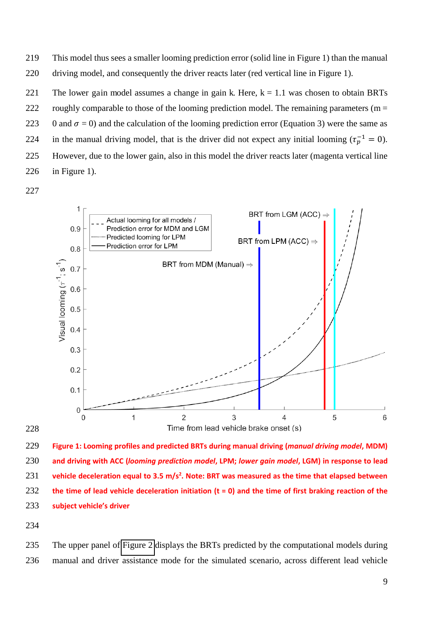219 This model thus sees a smaller looming prediction error (solid line in Figure 1) than the manual 220 driving model, and consequently the driver reacts later (red vertical line in Figure 1).

221 The lower gain model assumes a change in gain k. Here,  $k = 1.1$  was chosen to obtain BRTs 222 roughly comparable to those of the looming prediction model. The remaining parameters ( $m =$ 223 0 and  $\sigma = 0$ ) and the calculation of the looming prediction error (Equation 3) were the same as 224 in the manual driving model, that is the driver did not expect any initial looming ( $\tau_n^{-1} = 0$ ). 225 However, due to the lower gain, also in this model the driver reacts later (magenta vertical line 226 in Figure 1).





229 **Figure 1: Looming profiles and predicted BRTs during manual driving (***manual driving model***, MDM)**  230 **and driving with ACC (***looming prediction model***, LPM;** *lower gain model***, LGM) in response to lead vehicle deceleration equal to 3.5 m/s<sup>2</sup>** 231 **. Note: BRT was measured as the time that elapsed between**  232 **the time of lead vehicle deceleration initiation (t = 0) and the time of first braking reaction of the**  233 **subject vehicle's driver** 

234

235 The upper panel of [Figure 2](#page-12-0) displays the BRTs predicted by the computational models during 236 manual and driver assistance mode for the simulated scenario, across different lead vehicle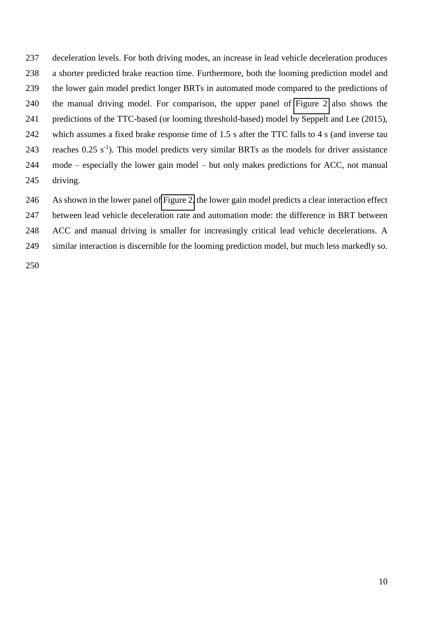237 deceleration levels. For both driving modes, an increase in lead vehicle deceleration produces 238 a shorter predicted brake reaction time. Furthermore, both the looming prediction model and 239 the lower gain model predict longer BRTs in automated mode compared to the predictions of 240 the manual driving model. For comparison, the upper panel of [Figure 2](#page-12-0) also shows the 241 predictions of the TTC-based (or looming threshold-based) model by Seppelt and Lee (2015), 242 which assumes a fixed brake response time of 1.5 s after the TTC falls to 4 s (and inverse tau 243 reaches  $0.25 \text{ s}^{-1}$ ). This model predicts very similar BRTs as the models for driver assistance 244 mode – especially the lower gain model – but only makes predictions for ACC, not manual 245 driving.

246 As shown in the lower panel of [Figure 2,](#page-12-0) the lower gain model predicts a clear interaction effect 247 between lead vehicle deceleration rate and automation mode: the difference in BRT between 248 ACC and manual driving is smaller for increasingly critical lead vehicle decelerations. A

<span id="page-12-0"></span>249 similar interaction is discernible for the looming prediction model, but much less markedly so.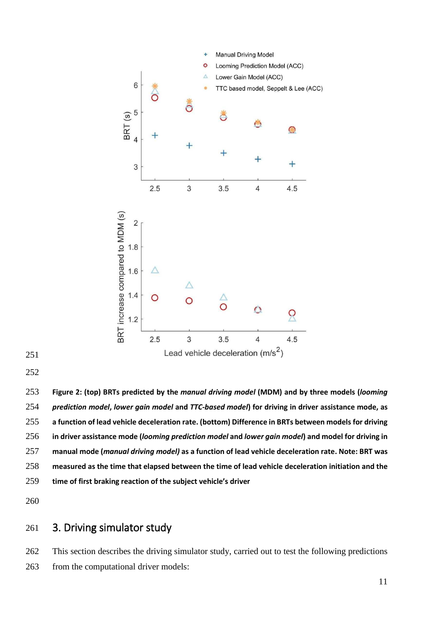



**Figure 2: (top) BRTs predicted by the** *manual driving model* **(MDM) and by three models (***looming prediction model***,** *lower gain model* **and** *TTC-based model***) for driving in driver assistance mode, as a function of lead vehicle deceleration rate. (bottom) Difference in BRTs between models for driving in driver assistance mode (***looming prediction model* **and** *lower gain model***) and model for driving in manual mode (***manual driving model)* **as a function of lead vehicle deceleration rate. Note: BRT was measured as the time that elapsed between the time of lead vehicle deceleration initiation and the time of first braking reaction of the subject vehicle's driver** 

## 3. Driving simulator study

262 This section describes the driving simulator study, carried out to test the following predictions 263 from the computational driver models: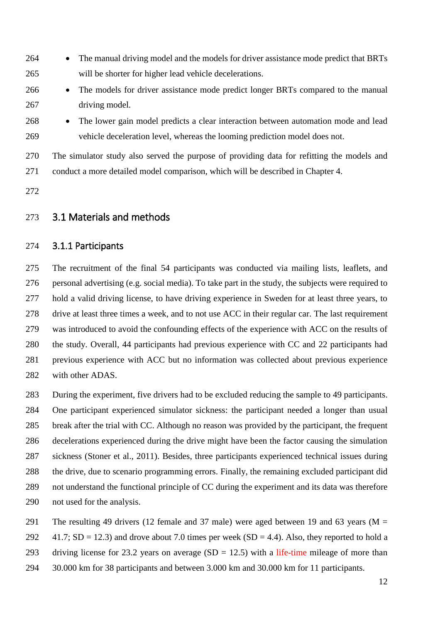- 264 The manual driving model and the models for driver assistance mode predict that BRTs 265 will be shorter for higher lead vehicle decelerations.
- 266 The models for driver assistance mode predict longer BRTs compared to the manual 267 driving model.
- 268 The lower gain model predicts a clear interaction between automation mode and lead 269 vehicle deceleration level, whereas the looming prediction model does not.

270 The simulator study also served the purpose of providing data for refitting the models and 271 conduct a more detailed model comparison, which will be described in Chapter 4.

272

## 273 3.1 Materials and methods

#### 274 3.1.1 Participants

275 The recruitment of the final 54 participants was conducted via mailing lists, leaflets, and 276 personal advertising (e.g. social media). To take part in the study, the subjects were required to 277 hold a valid driving license, to have driving experience in Sweden for at least three years, to 278 drive at least three times a week, and to not use ACC in their regular car. The last requirement 279 was introduced to avoid the confounding effects of the experience with ACC on the results of 280 the study. Overall, 44 participants had previous experience with CC and 22 participants had 281 previous experience with ACC but no information was collected about previous experience 282 with other ADAS.

283 During the experiment, five drivers had to be excluded reducing the sample to 49 participants. 284 One participant experienced simulator sickness: the participant needed a longer than usual 285 break after the trial with CC. Although no reason was provided by the participant, the frequent 286 decelerations experienced during the drive might have been the factor causing the simulation 287 sickness (Stoner et al., 2011). Besides, three participants experienced technical issues during 288 the drive, due to scenario programming errors. Finally, the remaining excluded participant did 289 not understand the functional principle of CC during the experiment and its data was therefore 290 not used for the analysis.

- 291 The resulting 49 drivers (12 female and 37 male) were aged between 19 and 63 years ( $M =$
- 292  $41.7$ ; SD = 12.3) and drove about 7.0 times per week (SD = 4.4). Also, they reported to hold a
- 293 driving license for 23.2 years on average  $(SD = 12.5)$  with a life-time mileage of more than
- 294 30.000 km for 38 participants and between 3.000 km and 30.000 km for 11 participants.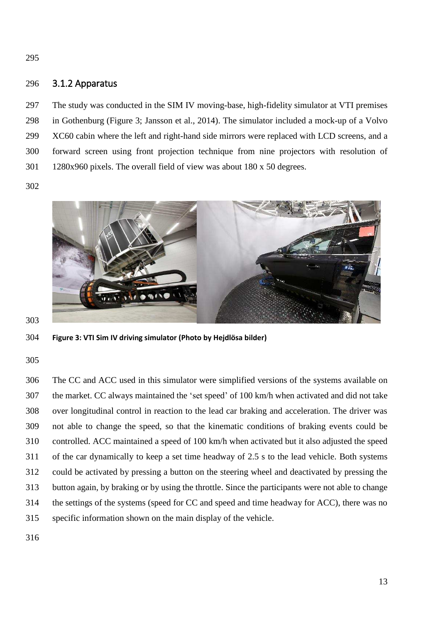295

#### 296 3.1.2 Apparatus

297 The study was conducted in the SIM IV moving-base, high-fidelity simulator at VTI premises 298 in Gothenburg (Figure 3; Jansson et al., 2014). The simulator included a mock-up of a Volvo 299 XC60 cabin where the left and right-hand side mirrors were replaced with LCD screens, and a 300 forward screen using front projection technique from nine projectors with resolution of 301 1280x960 pixels. The overall field of view was about 180 x 50 degrees.

302



303

304 **Figure 3: VTI Sim IV driving simulator (Photo by Hejdlösa bilder)** 

305

306 The CC and ACC used in this simulator were simplified versions of the systems available on 307 the market. CC always maintained the 'set speed' of 100 km/h when activated and did not take 308 over longitudinal control in reaction to the lead car braking and acceleration. The driver was 309 not able to change the speed, so that the kinematic conditions of braking events could be 310 controlled. ACC maintained a speed of 100 km/h when activated but it also adjusted the speed 311 of the car dynamically to keep a set time headway of 2.5 s to the lead vehicle. Both systems 312 could be activated by pressing a button on the steering wheel and deactivated by pressing the 313 button again, by braking or by using the throttle. Since the participants were not able to change 314 the settings of the systems (speed for CC and speed and time headway for ACC), there was no 315 specific information shown on the main display of the vehicle.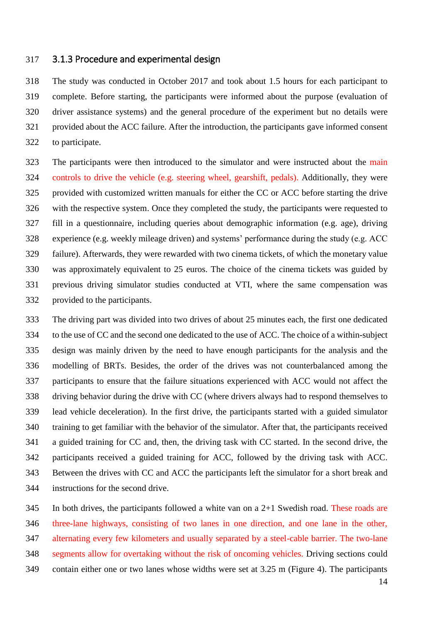#### 317 3.1.3 Procedure and experimental design

318 The study was conducted in October 2017 and took about 1.5 hours for each participant to 319 complete. Before starting, the participants were informed about the purpose (evaluation of 320 driver assistance systems) and the general procedure of the experiment but no details were 321 provided about the ACC failure. After the introduction, the participants gave informed consent 322 to participate.

323 The participants were then introduced to the simulator and were instructed about the main 324 controls to drive the vehicle (e.g. steering wheel, gearshift, pedals). Additionally, they were 325 provided with customized written manuals for either the CC or ACC before starting the drive 326 with the respective system. Once they completed the study, the participants were requested to 327 fill in a questionnaire, including queries about demographic information (e.g. age), driving 328 experience (e.g. weekly mileage driven) and systems' performance during the study (e.g. ACC 329 failure). Afterwards, they were rewarded with two cinema tickets, of which the monetary value 330 was approximately equivalent to 25 euros. The choice of the cinema tickets was guided by 331 previous driving simulator studies conducted at VTI, where the same compensation was 332 provided to the participants.

333 The driving part was divided into two drives of about 25 minutes each, the first one dedicated 334 to the use of CC and the second one dedicated to the use of ACC. The choice of a within-subject 335 design was mainly driven by the need to have enough participants for the analysis and the 336 modelling of BRTs. Besides, the order of the drives was not counterbalanced among the 337 participants to ensure that the failure situations experienced with ACC would not affect the 338 driving behavior during the drive with CC (where drivers always had to respond themselves to 339 lead vehicle deceleration). In the first drive, the participants started with a guided simulator 340 training to get familiar with the behavior of the simulator. After that, the participants received 341 a guided training for CC and, then, the driving task with CC started. In the second drive, the 342 participants received a guided training for ACC, followed by the driving task with ACC. 343 Between the drives with CC and ACC the participants left the simulator for a short break and 344 instructions for the second drive.

345 In both drives, the participants followed a white van on a 2+1 Swedish road. These roads are 346 three-lane highways, consisting of two lanes in one direction, and one lane in the other, 347 alternating every few kilometers and usually separated by a steel-cable barrier. The two-lane 348 segments allow for overtaking without the risk of oncoming vehicles. Driving sections could 349 contain either one or two lanes whose widths were set at 3.25 m (Figure 4). The participants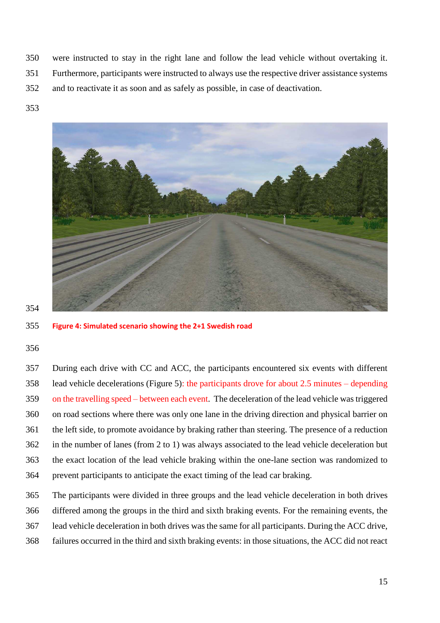- 350 were instructed to stay in the right lane and follow the lead vehicle without overtaking it.
- 351 Furthermore, participants were instructed to always use the respective driver assistance systems
- 352 and to reactivate it as soon and as safely as possible, in case of deactivation.
- 353



355 **Figure 4: Simulated scenario showing the 2+1 Swedish road** 

#### 356

357 During each drive with CC and ACC, the participants encountered six events with different 358 lead vehicle decelerations (Figure 5): the participants drove for about 2.5 minutes – depending 359 on the travelling speed – between each event. The deceleration of the lead vehicle was triggered 360 on road sections where there was only one lane in the driving direction and physical barrier on 361 the left side, to promote avoidance by braking rather than steering. The presence of a reduction 362 in the number of lanes (from 2 to 1) was always associated to the lead vehicle deceleration but 363 the exact location of the lead vehicle braking within the one-lane section was randomized to 364 prevent participants to anticipate the exact timing of the lead car braking.

365 The participants were divided in three groups and the lead vehicle deceleration in both drives 366 differed among the groups in the third and sixth braking events. For the remaining events, the 367 lead vehicle deceleration in both drives was the same for all participants. During the ACC drive, 368 failures occurred in the third and sixth braking events: in those situations, the ACC did not react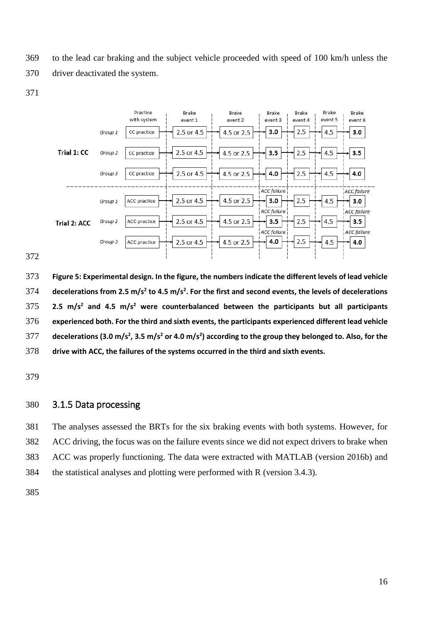369 to the lead car braking and the subject vehicle proceeded with speed of 100 km/h unless the

370 driver deactivated the system.



**Figure 5: Experimental design. In the figure, the numbers indicate the different levels of lead vehicle decelerations from 2.5 m/s<sup>2</sup> to 4.5 m/s<sup>2</sup> . For the first and second events, the levels of decelerations**  2.5 m/s<sup>2</sup> and 4.5 m/s<sup>2</sup> were counterbalanced between the participants but all participants **experienced both. For the third and sixth events, the participants experienced different lead vehicle decelerations (3.0 m/s<sup>2</sup> , 3.5 m/s<sup>2</sup> or 4.0 m/s<sup>2</sup> ) according to the group they belonged to. Also, for the drive with ACC, the failures of the systems occurred in the third and sixth events.** 

#### 3.1.5 Data processing

<span id="page-18-0"></span>381 The analyses assessed the BRTs for the six braking events with both systems. However, for 382 ACC driving, the focus was on the failure events since we did not expect drivers to brake when 383 ACC was properly functioning. The data were extracted with MATLAB (version 2016b) and 384 the statistical analyses and plotting were performed with R (version 3.4.3).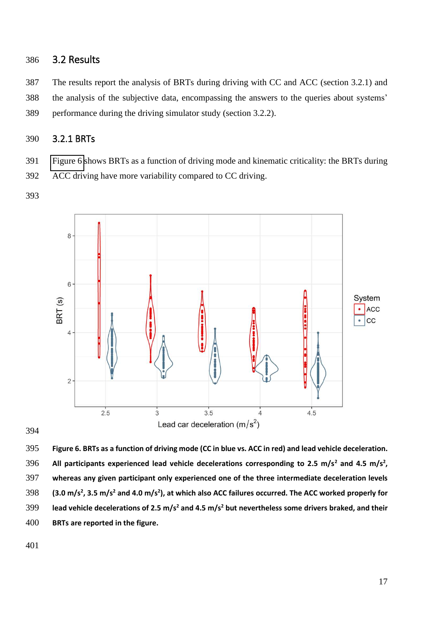## 386 3.2 Results

387 The results report the analysis of BRTs during driving with CC and ACC (section 3.2.1) and 388 the analysis of the subjective data, encompassing the answers to the queries about systems' 389 performance during the driving simulator study (section 3.2.2).

## 390 3.2.1 BRTs

391 [Figure 6](#page-18-0) shows BRTs as a function of driving mode and kinematic criticality: the BRTs during

392 ACC driving have more variability compared to CC driving.

393



394

395 **Figure 6. BRTs as a function of driving mode (CC in blue vs. ACC in red) and lead vehicle deceleration.**  396 All participants experienced lead vehicle decelerations corresponding to 2.5 m/s<sup>2</sup> and 4.5 m/s<sup>2</sup>, 397 **whereas any given participant only experienced one of the three intermediate deceleration levels**  398 (3.0 m/s<sup>2</sup>, 3.5 m/s<sup>2</sup> and 4.0 m/s<sup>2</sup>), at which also ACC failures occurred. The ACC worked properly for **lead vehicle decelerations of 2.5 m/s<sup>2</sup> and 4.5 m/s<sup>2</sup>** 399 **but nevertheless some drivers braked, and their**  400 **BRTs are reported in the figure.**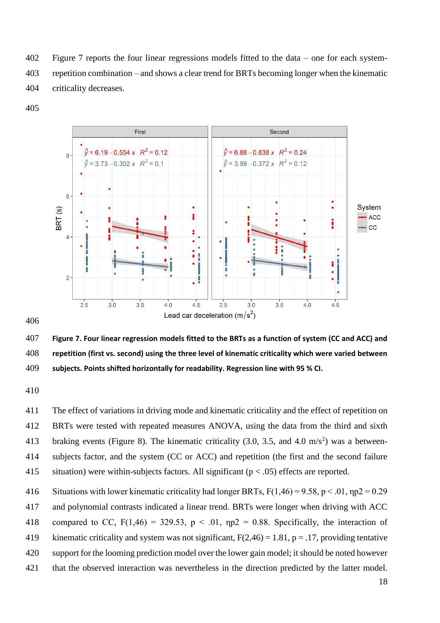402 Figure 7 reports the four linear regressions models fitted to the data – one for each system-403 repetition combination – and shows a clear trend for BRTs becoming longer when the kinematic 404 criticality decreases.

405



406

407 **Figure 7. Four linear regression models fitted to the BRTs as a function of system (CC and ACC) and**  408 **repetition (first vs. second) using the three level of kinematic criticality which were varied between**  409 **subjects. Points shifted horizontally for readability. Regression line with 95 % CI.**

410

411 The effect of variations in driving mode and kinematic criticality and the effect of repetition on 412 BRTs were tested with repeated measures ANOVA, using the data from the third and sixth 413 braking events (Figure 8). The kinematic criticality (3.0, 3.5, and 4.0 m/s<sup>2</sup>) was a between-414 subjects factor, and the system (CC or ACC) and repetition (the first and the second failure 415 situation) were within-subjects factors. All significant ( $p < .05$ ) effects are reported.

416 Situations with lower kinematic criticality had longer BRTs,  $F(1,46) = 9.58$ ,  $p < .01$ ,  $np2 = 0.29$ 417 and polynomial contrasts indicated a linear trend. BRTs were longer when driving with ACC 418 compared to CC,  $F(1,46) = 329.53$ ,  $p < .01$ ,  $np2 = 0.88$ . Specifically, the interaction of 419 kinematic criticality and system was not significant,  $F(2,46) = 1.81$ ,  $p = .17$ , providing tentative 420 support for the looming prediction model over the lower gain model; it should be noted however 421 that the observed interaction was nevertheless in the direction predicted by the latter model.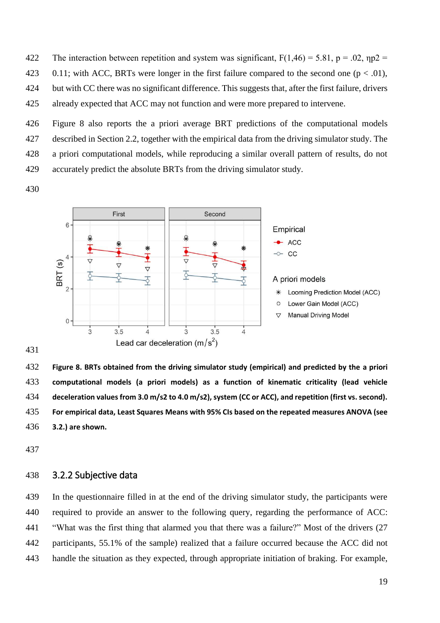422 The interaction between repetition and system was significant,  $F(1,46) = 5.81$ ,  $p = .02$ ,  $np2 =$ 423 0.11; with ACC, BRTs were longer in the first failure compared to the second one  $(p < .01)$ , 424 but with CC there was no significant difference. This suggests that, after the first failure, drivers 425 already expected that ACC may not function and were more prepared to intervene.

426 Figure 8 also reports the a priori average BRT predictions of the computational models 427 described in Section 2.2, together with the empirical data from the driving simulator study. The 428 a priori computational models, while reproducing a similar overall pattern of results, do not

429 accurately predict the absolute BRTs from the driving simulator study.

430



432 **Figure 8. BRTs obtained from the driving simulator study (empirical) and predicted by the a priori**  433 **computational models (a priori models) as a function of kinematic criticality (lead vehicle**  434 **deceleration values from 3.0 m/s2 to 4.0 m/s2), system (CC or ACC), and repetition (first vs. second).** 435 **For empirical data, Least Squares Means with 95% CIs based on the repeated measures ANOVA (see**  436 **3.2.) are shown.** 

437

#### 438 3.2.2 Subjective data

439 In the questionnaire filled in at the end of the driving simulator study, the participants were 440 required to provide an answer to the following query, regarding the performance of ACC: 441 "What was the first thing that alarmed you that there was a failure?" Most of the drivers (27 442 participants, 55.1% of the sample) realized that a failure occurred because the ACC did not 443 handle the situation as they expected, through appropriate initiation of braking. For example,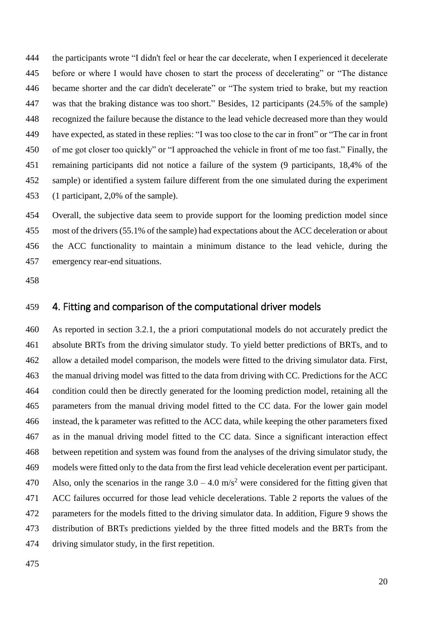444 the participants wrote "I didn't feel or hear the car decelerate, when I experienced it decelerate 445 before or where I would have chosen to start the process of decelerating" or "The distance 446 became shorter and the car didn't decelerate" or "The system tried to brake, but my reaction 447 was that the braking distance was too short." Besides, 12 participants (24.5% of the sample) 448 recognized the failure because the distance to the lead vehicle decreased more than they would 449 have expected, as stated in these replies: "I was too close to the car in front" or "The car in front 450 of me got closer too quickly" or "I approached the vehicle in front of me too fast." Finally, the 451 remaining participants did not notice a failure of the system (9 participants, 18,4% of the 452 sample) or identified a system failure different from the one simulated during the experiment 453 (1 participant, 2,0% of the sample).

454 Overall, the subjective data seem to provide support for the looming prediction model since 455 most of the drivers (55.1% of the sample) had expectations about the ACC deceleration or about 456 the ACC functionality to maintain a minimum distance to the lead vehicle, during the 457 emergency rear-end situations.

458

## 459 4. Fitting and comparison of the computational driver models

460 As reported in section 3.2.1, the a priori computational models do not accurately predict the 461 absolute BRTs from the driving simulator study. To yield better predictions of BRTs, and to 462 allow a detailed model comparison, the models were fitted to the driving simulator data. First, 463 the manual driving model was fitted to the data from driving with CC. Predictions for the ACC 464 condition could then be directly generated for the looming prediction model, retaining all the 465 parameters from the manual driving model fitted to the CC data. For the lower gain model 466 instead, the k parameter was refitted to the ACC data, while keeping the other parameters fixed 467 as in the manual driving model fitted to the CC data. Since a significant interaction effect 468 between repetition and system was found from the analyses of the driving simulator study, the 469 models were fitted only to the data from the first lead vehicle deceleration event per participant. 470 Also, only the scenarios in the range  $3.0 - 4.0$  m/s<sup>2</sup> were considered for the fitting given that 471 ACC failures occurred for those lead vehicle decelerations. Table 2 reports the values of the 472 parameters for the models fitted to the driving simulator data. In addition, Figure 9 shows the 473 distribution of BRTs predictions yielded by the three fitted models and the BRTs from the 474 driving simulator study, in the first repetition.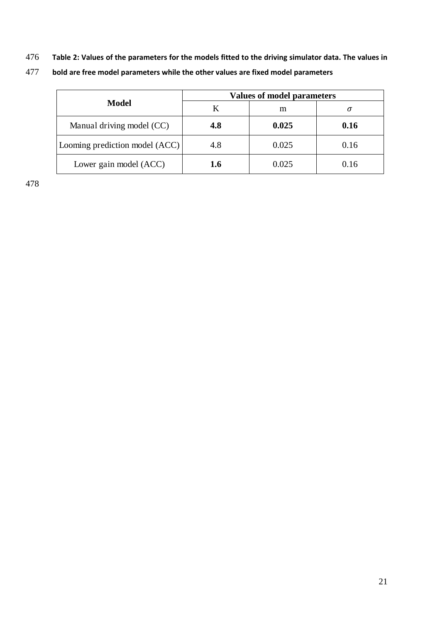476 **Table 2: Values of the parameters for the models fitted to the driving simulator data. The values in** 

|                                | <b>Values of model parameters</b> |       |      |  |  |
|--------------------------------|-----------------------------------|-------|------|--|--|
| <b>Model</b>                   |                                   | m     | σ    |  |  |
| Manual driving model (CC)      | 4.8                               | 0.025 | 0.16 |  |  |
| Looming prediction model (ACC) | 4.8                               | 0.025 | 0.16 |  |  |
| Lower gain model (ACC)         | 1.6                               | 0.025 | 0.16 |  |  |

477 **bold are free model parameters while the other values are fixed model parameters**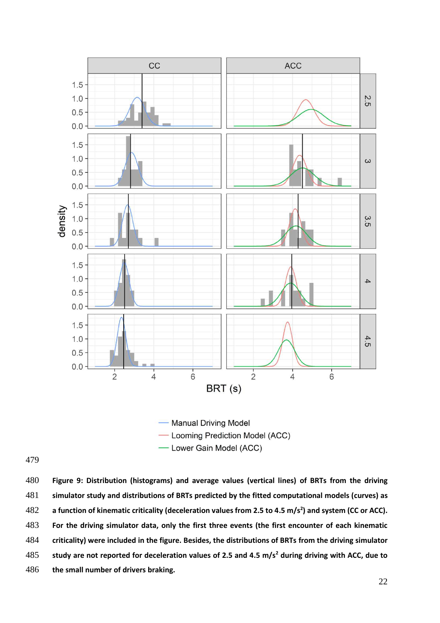

Lower Gain Model (ACC)

**Figure 9: Distribution (histograms) and average values (vertical lines) of BRTs from the driving simulator study and distributions of BRTs predicted by the fitted computational models (curves) as a function of kinematic criticality (deceleration values from 2.5 to 4.5 m/s<sup>2</sup> ) and system (CC or ACC). For the driving simulator data, only the first three events (the first encounter of each kinematic criticality) were included in the figure. Besides, the distributions of BRTs from the driving simulator study are not reported for deceleration values of 2.5 and 4.5 m/s<sup>2</sup> during driving with ACC, due to the small number of drivers braking.**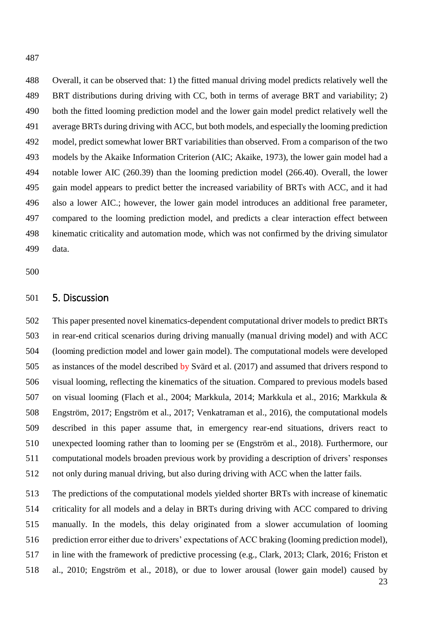487

488 Overall, it can be observed that: 1) the fitted manual driving model predicts relatively well the 489 BRT distributions during driving with CC, both in terms of average BRT and variability; 2) 490 both the fitted looming prediction model and the lower gain model predict relatively well the 491 average BRTs during driving with ACC, but both models, and especially the looming prediction 492 model, predict somewhat lower BRT variabilities than observed. From a comparison of the two 493 models by the Akaike Information Criterion (AIC; Akaike, 1973), the lower gain model had a 494 notable lower AIC (260.39) than the looming prediction model (266.40). Overall, the lower 495 gain model appears to predict better the increased variability of BRTs with ACC, and it had 496 also a lower AIC.; however, the lower gain model introduces an additional free parameter, 497 compared to the looming prediction model, and predicts a clear interaction effect between 498 kinematic criticality and automation mode, which was not confirmed by the driving simulator 499 data.

500

#### 501 5. Discussion

502 This paper presented novel kinematics-dependent computational driver models to predict BRTs 503 in rear-end critical scenarios during driving manually (manual driving model) and with ACC 504 (looming prediction model and lower gain model). The computational models were developed 505 as instances of the model described by Svärd et al. (2017) and assumed that drivers respond to 506 visual looming, reflecting the kinematics of the situation. Compared to previous models based 507 on visual looming (Flach et al., 2004; Markkula, 2014; Markkula et al., 2016; Markkula & 508 Engström, 2017; Engström et al., 2017; Venkatraman et al., 2016), the computational models 509 described in this paper assume that, in emergency rear-end situations, drivers react to 510 unexpected looming rather than to looming per se (Engström et al., 2018). Furthermore, our 511 computational models broaden previous work by providing a description of drivers' responses 512 not only during manual driving, but also during driving with ACC when the latter fails.

513 The predictions of the computational models yielded shorter BRTs with increase of kinematic 514 criticality for all models and a delay in BRTs during driving with ACC compared to driving 515 manually. In the models, this delay originated from a slower accumulation of looming 516 prediction error either due to drivers' expectations of ACC braking (looming prediction model), 517 in line with the framework of predictive processing (e.g., Clark, 2013; Clark, 2016; Friston et 518 al., 2010; Engström et al., 2018), or due to lower arousal (lower gain model) caused by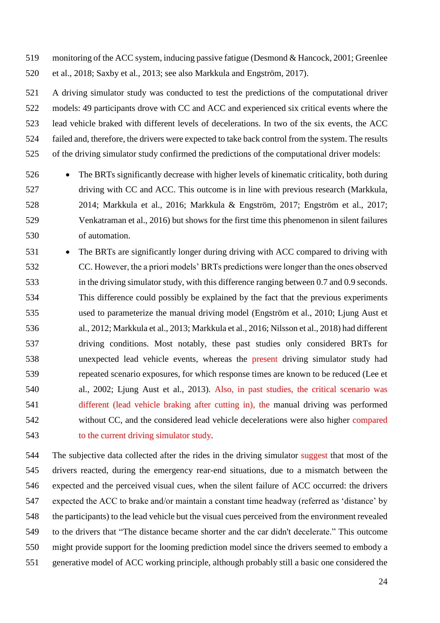519 monitoring of the ACC system, inducing passive fatigue (Desmond & Hancock, 2001; Greenlee 520 et al., 2018; Saxby et al., 2013; see also Markkula and Engström, 2017).

521 A driving simulator study was conducted to test the predictions of the computational driver 522 models: 49 participants drove with CC and ACC and experienced six critical events where the 523 lead vehicle braked with different levels of decelerations. In two of the six events, the ACC 524 failed and, therefore, the drivers were expected to take back control from the system. The results 525 of the driving simulator study confirmed the predictions of the computational driver models:

- 526 The BRTs significantly decrease with higher levels of kinematic criticality, both during 527 driving with CC and ACC. This outcome is in line with previous research (Markkula, 528 2014; Markkula et al., 2016; Markkula & Engström, 2017; Engström et al., 2017; 529 Venkatraman et al., 2016) but shows for the first time this phenomenon in silent failures 530 of automation.
- 531 The BRTs are significantly longer during driving with ACC compared to driving with 532 CC. However, the a priori models' BRTs predictions were longer than the ones observed 533 in the driving simulator study, with this difference ranging between 0.7 and 0.9 seconds. 534 This difference could possibly be explained by the fact that the previous experiments 535 used to parameterize the manual driving model (Engström et al., 2010; Ljung Aust et 536 al., 2012; Markkula et al., 2013; Markkula et al., 2016; Nilsson et al., 2018) had different 537 driving conditions. Most notably, these past studies only considered BRTs for 538 unexpected lead vehicle events, whereas the present driving simulator study had 539 repeated scenario exposures, for which response times are known to be reduced (Lee et 540 al., 2002; Ljung Aust et al., 2013). Also, in past studies, the critical scenario was 541 different (lead vehicle braking after cutting in), the manual driving was performed 542 without CC, and the considered lead vehicle decelerations were also higher compared 543 to the current driving simulator study.

544 The subjective data collected after the rides in the driving simulator suggest that most of the 545 drivers reacted, during the emergency rear-end situations, due to a mismatch between the 546 expected and the perceived visual cues, when the silent failure of ACC occurred: the drivers 547 expected the ACC to brake and/or maintain a constant time headway (referred as 'distance' by 548 the participants) to the lead vehicle but the visual cues perceived from the environment revealed 549 to the drivers that "The distance became shorter and the car didn't decelerate." This outcome 550 might provide support for the looming prediction model since the drivers seemed to embody a 551 generative model of ACC working principle, although probably still a basic one considered the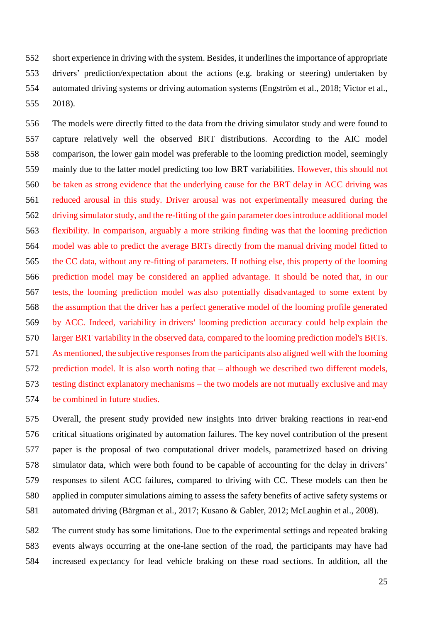552 short experience in driving with the system. Besides, it underlines the importance of appropriate 553 drivers' prediction/expectation about the actions (e.g. braking or steering) undertaken by 554 automated driving systems or driving automation systems (Engström et al., 2018; Victor et al., 555 2018).

556 The models were directly fitted to the data from the driving simulator study and were found to 557 capture relatively well the observed BRT distributions. According to the AIC model 558 comparison, the lower gain model was preferable to the looming prediction model, seemingly 559 mainly due to the latter model predicting too low BRT variabilities. However, this should not 560 be taken as strong evidence that the underlying cause for the BRT delay in ACC driving was 561 reduced arousal in this study. Driver arousal was not experimentally measured during the 562 driving simulator study, and the re-fitting of the gain parameter does introduce additional model 563 flexibility. In comparison, arguably a more striking finding was that the looming prediction 564 model was able to predict the average BRTs directly from the manual driving model fitted to 565 the CC data, without any re-fitting of parameters. If nothing else, this property of the looming 566 prediction model may be considered an applied advantage. It should be noted that, in our 567 tests, the looming prediction model was also potentially disadvantaged to some extent by 568 the assumption that the driver has a perfect generative model of the looming profile generated 569 by ACC. Indeed, variability in drivers' looming prediction accuracy could help explain the 570 larger BRT variability in the observed data, compared to the looming prediction model's BRTs. 571 As mentioned, the subjective responses from the participants also aligned well with the looming 572 prediction model. It is also worth noting that – although we described two different models, 573 testing distinct explanatory mechanisms – the two models are not mutually exclusive and may 574 be combined in future studies.

575 Overall, the present study provided new insights into driver braking reactions in rear-end 576 critical situations originated by automation failures. The key novel contribution of the present 577 paper is the proposal of two computational driver models, parametrized based on driving 578 simulator data, which were both found to be capable of accounting for the delay in drivers' 579 responses to silent ACC failures, compared to driving with CC. These models can then be 580 applied in computer simulations aiming to assess the safety benefits of active safety systems or 581 automated driving (Bärgman et al., 2017; Kusano & Gabler, 2012; McLaughin et al., 2008).

582 The current study has some limitations. Due to the experimental settings and repeated braking 583 events always occurring at the one-lane section of the road, the participants may have had 584 increased expectancy for lead vehicle braking on these road sections. In addition, all the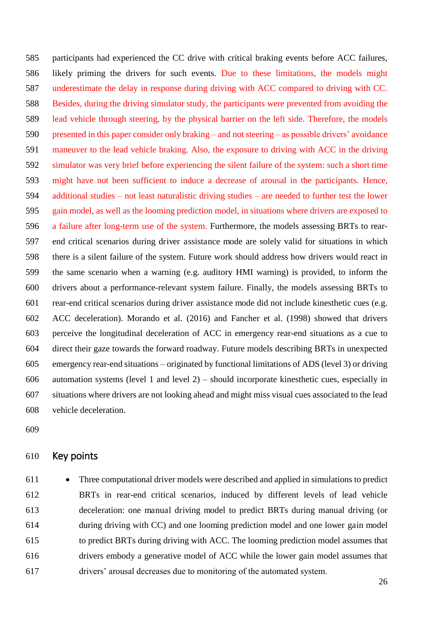585 participants had experienced the CC drive with critical braking events before ACC failures, 586 likely priming the drivers for such events. Due to these limitations, the models might 587 underestimate the delay in response during driving with ACC compared to driving with CC. 588 Besides, during the driving simulator study, the participants were prevented from avoiding the 589 lead vehicle through steering, by the physical barrier on the left side. Therefore, the models 590 presented in this paper consider only braking – and not steering – as possible drivers' avoidance 591 maneuver to the lead vehicle braking. Also, the exposure to driving with ACC in the driving 592 simulator was very brief before experiencing the silent failure of the system: such a short time 593 might have not been sufficient to induce a decrease of arousal in the participants. Hence, 594 additional studies – not least naturalistic driving studies – are needed to further test the lower 595 gain model, as well as the looming prediction model, in situations where drivers are exposed to 596 a failure after long-term use of the system. Furthermore, the models assessing BRTs to rear-597 end critical scenarios during driver assistance mode are solely valid for situations in which 598 there is a silent failure of the system. Future work should address how drivers would react in 599 the same scenario when a warning (e.g. auditory HMI warning) is provided, to inform the 600 drivers about a performance-relevant system failure. Finally, the models assessing BRTs to 601 rear-end critical scenarios during driver assistance mode did not include kinesthetic cues (e.g. 602 ACC deceleration). Morando et al. (2016) and Fancher et al. (1998) showed that drivers 603 perceive the longitudinal deceleration of ACC in emergency rear-end situations as a cue to 604 direct their gaze towards the forward roadway. Future models describing BRTs in unexpected 605 emergency rear-end situations – originated by functional limitations of ADS (level 3) or driving 606 automation systems (level 1 and level 2) – should incorporate kinesthetic cues, especially in 607 situations where drivers are not looking ahead and might miss visual cues associated to the lead 608 vehicle deceleration.

609

#### 610 Key points

611 • Three computational driver models were described and applied in simulations to predict 612 BRTs in rear-end critical scenarios, induced by different levels of lead vehicle 613 deceleration: one manual driving model to predict BRTs during manual driving (or 614 during driving with CC) and one looming prediction model and one lower gain model 615 to predict BRTs during driving with ACC. The looming prediction model assumes that 616 drivers embody a generative model of ACC while the lower gain model assumes that 617 drivers' arousal decreases due to monitoring of the automated system.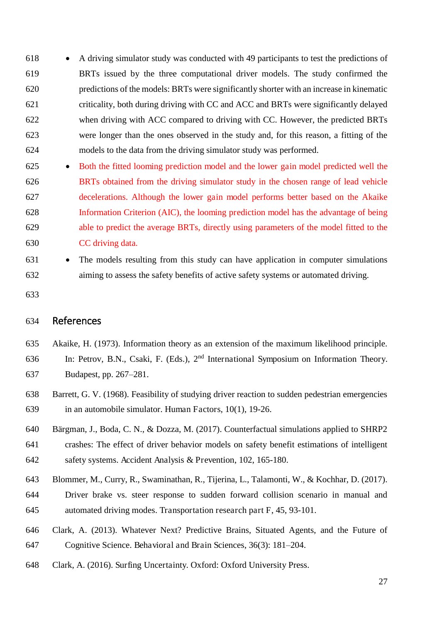618 • A driving simulator study was conducted with 49 participants to test the predictions of 619 BRTs issued by the three computational driver models. The study confirmed the 620 predictions of the models: BRTs were significantly shorter with an increase in kinematic 621 criticality, both during driving with CC and ACC and BRTs were significantly delayed 622 when driving with ACC compared to driving with CC. However, the predicted BRTs 623 were longer than the ones observed in the study and, for this reason, a fitting of the 624 models to the data from the driving simulator study was performed.

- 625 Both the fitted looming prediction model and the lower gain model predicted well the 626 BRTs obtained from the driving simulator study in the chosen range of lead vehicle 627 decelerations. Although the lower gain model performs better based on the Akaike 628 Information Criterion (AIC), the looming prediction model has the advantage of being 629 able to predict the average BRTs, directly using parameters of the model fitted to the 630 CC driving data.
- 631 The models resulting from this study can have application in computer simulations 632 aiming to assess the safety benefits of active safety systems or automated driving.
- 633

#### 634 References

- 635 Akaike, H. (1973). Information theory as an extension of the maximum likelihood principle.
- 636 In: Petrov, B.N., Csaki, F. (Eds.),  $2<sup>nd</sup>$  International Symposium on Information Theory. 637 Budapest, pp. 267–281.
- 638 Barrett, G. V. (1968). Feasibility of studying driver reaction to sudden pedestrian emergencies 639 in an automobile simulator. Human Factors, 10(1), 19-26.
- 640 Bärgman, J., Boda, C. N., & Dozza, M. (2017). Counterfactual simulations applied to SHRP2 641 crashes: The effect of driver behavior models on safety benefit estimations of intelligent 642 safety systems. Accident Analysis & Prevention, 102, 165-180.
- 643 Blommer, M., Curry, R., Swaminathan, R., Tijerina, L., Talamonti, W., & Kochhar, D. (2017).
- 644 Driver brake vs. steer response to sudden forward collision scenario in manual and 645 automated driving modes. Transportation research part F, 45, 93-101.
- 646 Clark, A. (2013). Whatever Next? Predictive Brains, Situated Agents, and the Future of 647 Cognitive Science. Behavioral and Brain Sciences, 36(3): 181–204.
- 648 Clark, A. (2016). Surfing Uncertainty. Oxford: Oxford University Press.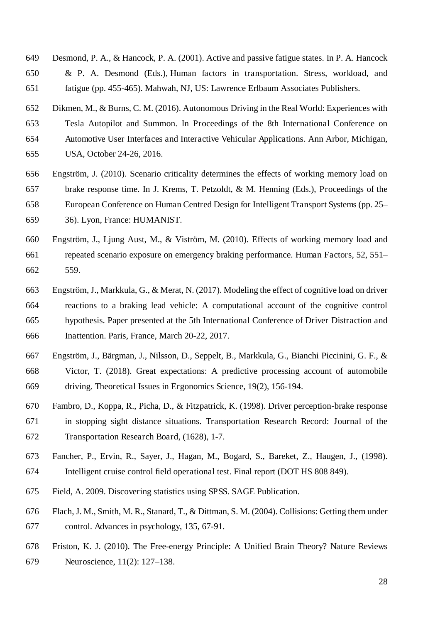- 649 Desmond, P. A., & Hancock, P. A. (2001). Active and passive fatigue states. In P. A. Hancock 650 & P. A. Desmond (Eds.), Human factors in transportation. Stress, workload, and 651 fatigue (pp. 455-465). Mahwah, NJ, US: Lawrence Erlbaum Associates Publishers.
- 652 Dikmen, M., & Burns, C. M. (2016). Autonomous Driving in the Real World: Experiences with 653 Tesla Autopilot and Summon. In Proceedings of the 8th International Conference on 654 Automotive User Interfaces and Interactive Vehicular Applications. Ann Arbor, Michigan, 655 USA, October 24-26, 2016.
- 656 Engström, J. (2010). Scenario criticality determines the effects of working memory load on 657 brake response time. In J. Krems, T. Petzoldt, & M. Henning (Eds.), Proceedings of the 658 European Conference on Human Centred Design for Intelligent Transport Systems (pp. 25– 659 36). Lyon, France: HUMANIST.
- 660 Engström, J., Ljung Aust, M., & Viström, M. (2010). Effects of working memory load and 661 repeated scenario exposure on emergency braking performance. Human Factors, 52, 551– 662 559.
- 663 Engström, J., Markkula, G., & Merat, N. (2017). Modeling the effect of cognitive load on driver 664 reactions to a braking lead vehicle: A computational account of the cognitive control 665 hypothesis. Paper presented at the 5th International Conference of Driver Distraction and 666 Inattention. Paris, France, March 20-22, 2017.
- 667 Engström, J., Bärgman, J., Nilsson, D., Seppelt, B., Markkula, G., Bianchi Piccinini, G. F., & 668 Victor, T. (2018). Great expectations: A predictive processing account of automobile 669 driving. Theoretical Issues in Ergonomics Science, 19(2), 156-194.
- 670 Fambro, D., Koppa, R., Picha, D., & Fitzpatrick, K. (1998). Driver perception-brake response 671 in stopping sight distance situations. Transportation Research Record: Journal of the 672 Transportation Research Board, (1628), 1-7.
- 673 Fancher, P., Ervin, R., Sayer, J., Hagan, M., Bogard, S., Bareket, Z., Haugen, J., (1998). 674 Intelligent cruise control field operational test. Final report (DOT HS 808 849).
- 675 Field, A. 2009. Discovering statistics using SPSS. SAGE Publication.
- 676 Flach, J. M., Smith, M. R., Stanard, T., & Dittman, S. M. (2004). Collisions: Getting them under 677 control. Advances in psychology, 135, 67-91.
- 678 Friston, K. J. (2010). The Free-energy Principle: A Unified Brain Theory? Nature Reviews 679 Neuroscience, 11(2): 127–138.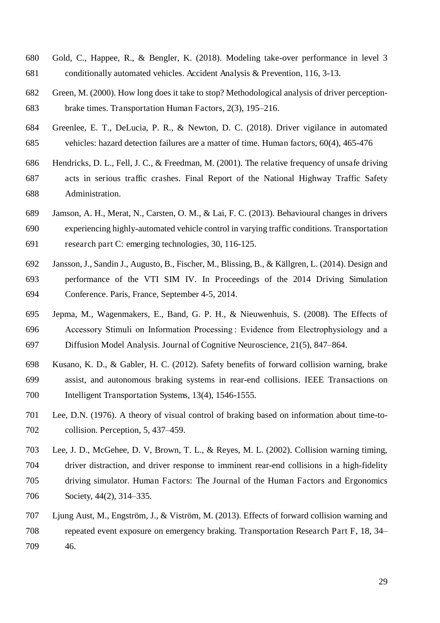- 680 Gold, C., Happee, R., & Bengler, K. (2018). Modeling take-over performance in level 3 681 conditionally automated vehicles. Accident Analysis & Prevention, 116, 3-13.
- 682 Green, M. (2000). How long does it take to stop? Methodological analysis of driver perception-683 brake times. Transportation Human Factors, 2(3), 195–216.
- 684 Greenlee, E. T., DeLucia, P. R., & Newton, D. C. (2018). Driver vigilance in automated 685 vehicles: hazard detection failures are a matter of time. Human factors, 60(4), 465-476
- 686 Hendricks, D. L., Fell, J. C., & Freedman, M. (2001). The relative frequency of unsafe driving 687 acts in serious traffic crashes. Final Report of the National Highway Traffic Safety 688 Administration.
- 689 Jamson, A. H., Merat, N., Carsten, O. M., & Lai, F. C. (2013). Behavioural changes in drivers 690 experiencing highly-automated vehicle control in varying traffic conditions. Transportation 691 research part C: emerging technologies, 30, 116-125.
- 692 Jansson, J., Sandin J., Augusto, B., Fischer, M., Blissing, B., & Källgren, L. (2014). Design and 693 performance of the VTI SIM IV. In Proceedings of the 2014 Driving Simulation 694 Conference. Paris, France, September 4-5, 2014.
- 695 Jepma, M., Wagenmakers, E., Band, G. P. H., & Nieuwenhuis, S. (2008). The Effects of 696 Accessory Stimuli on Information Processing: Evidence from Electrophysiology and a 697 Diffusion Model Analysis. Journal of Cognitive Neuroscience, 21(5), 847–864.
- 698 Kusano, K. D., & Gabler, H. C. (2012). Safety benefits of forward collision warning, brake 699 assist, and autonomous braking systems in rear-end collisions. IEEE Transactions on 700 Intelligent Transportation Systems, 13(4), 1546-1555.
- 701 Lee, D.N. (1976). A theory of visual control of braking based on information about time-to-702 collision. Perception, 5, 437–459.
- 703 Lee, J. D., McGehee, D. V, Brown, T. L., & Reyes, M. L. (2002). Collision warning timing, 704 driver distraction, and driver response to imminent rear-end collisions in a high-fidelity 705 driving simulator. Human Factors: The Journal of the Human Factors and Ergonomics 706 Society, 44(2), 314–335.
- 707 Ljung Aust, M., Engström, J., & Viström, M. (2013). Effects of forward collision warning and 708 repeated event exposure on emergency braking. Transportation Research Part F, 18, 34– 709 46.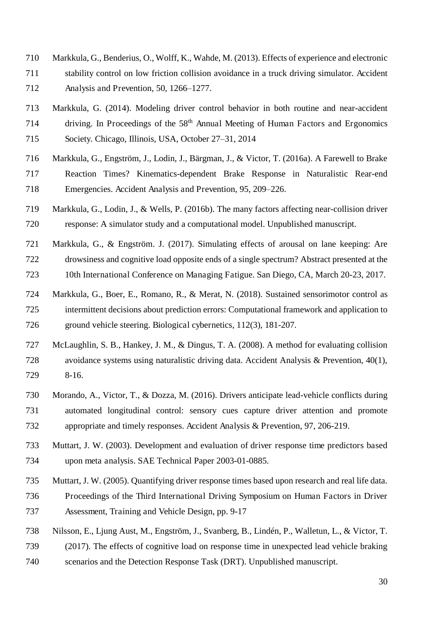- 710 Markkula, G., Benderius, O., Wolff, K., Wahde, M. (2013). Effects of experience and electronic 711 stability control on low friction collision avoidance in a truck driving simulator. Accident 712 Analysis and Prevention, 50, 1266–1277.
- 713 Markkula, G. (2014). Modeling driver control behavior in both routine and near-accident  $714$  driving. In Proceedings of the  $58<sup>th</sup>$  Annual Meeting of Human Factors and Ergonomics 715 Society. Chicago, Illinois, USA, October 27–31, 2014
- 716 Markkula, G., Engström, J., Lodin, J., Bärgman, J., & Victor, T. (2016a). A Farewell to Brake 717 Reaction Times? Kinematics-dependent Brake Response in Naturalistic Rear-end 718 Emergencies. Accident Analysis and Prevention, 95, 209–226.
- 719 Markkula, G., Lodin, J., & Wells, P. (2016b). The many factors affecting near-collision driver 720 response: A simulator study and a computational model. Unpublished manuscript.
- 721 Markkula, G., & Engström. J. (2017). Simulating effects of arousal on lane keeping: Are 722 drowsiness and cognitive load opposite ends of a single spectrum? Abstract presented at the 723 10th International Conference on Managing Fatigue. San Diego, CA, March 20-23, 2017.
- 724 Markkula, G., Boer, E., Romano, R., & Merat, N. (2018). Sustained sensorimotor control as 725 intermittent decisions about prediction errors: Computational framework and application to 726 ground vehicle steering. Biological cybernetics, 112(3), 181-207.
- 727 McLaughlin, S. B., Hankey, J. M., & Dingus, T. A. (2008). A method for evaluating collision 728 avoidance systems using naturalistic driving data. Accident Analysis & Prevention, 40(1), 729 8-16.
- 730 Morando, A., Victor, T., & Dozza, M. (2016). Drivers anticipate lead-vehicle conflicts during 731 automated longitudinal control: sensory cues capture driver attention and promote 732 appropriate and timely responses. Accident Analysis & Prevention, 97, 206-219.
- 733 Muttart, J. W. (2003). Development and evaluation of driver response time predictors based 734 upon meta analysis. SAE Technical Paper 2003-01-0885.
- 735 Muttart, J. W. (2005). Quantifying driver response times based upon research and real life data. 736 Proceedings of the Third International Driving Symposium on Human Factors in Driver 737 Assessment, Training and Vehicle Design, pp. 9-17
- 738 Nilsson, E., Ljung Aust, M., Engström, J., Svanberg, B., Lindén, P., Walletun, L., & Victor, T. 739 (2017). The effects of cognitive load on response time in unexpected lead vehicle braking 740 scenarios and the Detection Response Task (DRT). Unpublished manuscript.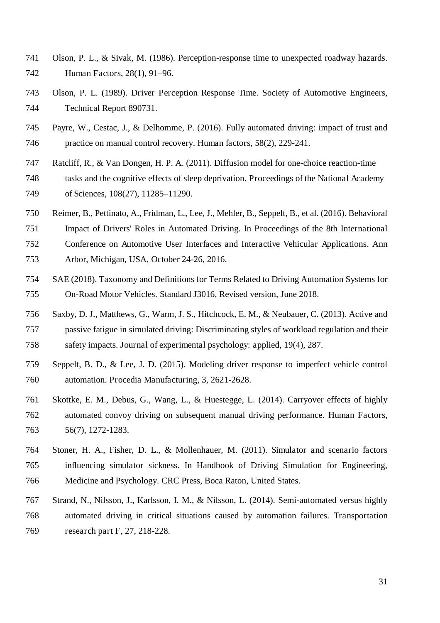- 741 Olson, P. L., & Sivak, M. (1986). Perception-response time to unexpected roadway hazards. 742 Human Factors, 28(1), 91–96.
- 743 Olson, P. L. (1989). Driver Perception Response Time. Society of Automotive Engineers, 744 Technical Report 890731.
- 745 Payre, W., Cestac, J., & Delhomme, P. (2016). Fully automated driving: impact of trust and 746 practice on manual control recovery. Human factors, 58(2), 229-241.
- 747 Ratcliff, R., & Van Dongen, H. P. A. (2011). Diffusion model for one-choice reaction-time
- 748 tasks and the cognitive effects of sleep deprivation. Proceedings of the National Academy 749 of Sciences, 108(27), 11285–11290.
- 750 Reimer, B., Pettinato, A., Fridman, L., Lee, J., Mehler, B., Seppelt, B., et al. (2016). Behavioral

751 Impact of Drivers' Roles in Automated Driving. In Proceedings of the 8th International 752 Conference on Automotive User Interfaces and Interactive Vehicular Applications. Ann 753 Arbor, Michigan, USA, October 24-26, 2016.

- 754 SAE (2018). Taxonomy and Definitions for Terms Related to Driving Automation Systems for 755 On-Road Motor Vehicles. Standard J3016, Revised version, June 2018.
- 756 Saxby, D. J., Matthews, G., Warm, J. S., Hitchcock, E. M., & Neubauer, C. (2013). Active and 757 passive fatigue in simulated driving: Discriminating styles of workload regulation and their 758 safety impacts. Journal of experimental psychology: applied, 19(4), 287.
- 759 Seppelt, B. D., & Lee, J. D. (2015). Modeling driver response to imperfect vehicle control 760 automation. Procedia Manufacturing, 3, 2621-2628.
- 761 Skottke, E. M., Debus, G., Wang, L., & Huestegge, L. (2014). Carryover effects of highly 762 automated convoy driving on subsequent manual driving performance. Human Factors, 763 56(7), 1272-1283.
- 764 Stoner, H. A., Fisher, D. L., & Mollenhauer, M. (2011). Simulator and scenario factors 765 influencing simulator sickness. In Handbook of Driving Simulation for Engineering, 766 Medicine and Psychology. CRC Press, Boca Raton, United States.
- 767 Strand, N., Nilsson, J., Karlsson, I. M., & Nilsson, L. (2014). Semi-automated versus highly 768 automated driving in critical situations caused by automation failures. Transportation 769 research part F, 27, 218-228.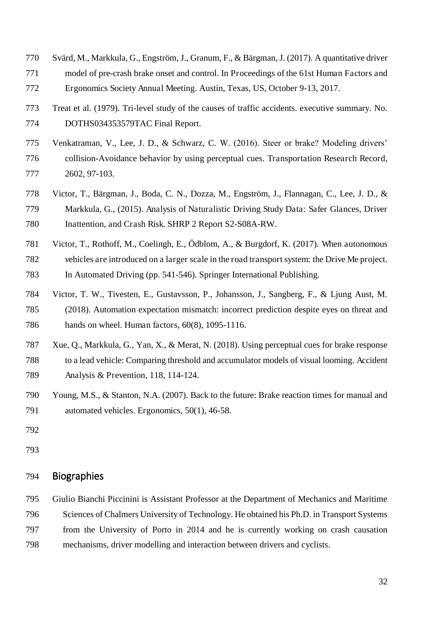- 770 Svärd, M., Markkula, G., Engström, J., Granum, F., & Bärgman, J. (2017). A quantitative driver 771 model of pre-crash brake onset and control. In Proceedings of the 61st Human Factors and 772 Ergonomics Society Annual Meeting. Austin, Texas, US, October 9-13, 2017.
- 773 Treat et al. (1979). Tri-level study of the causes of traffic accidents. executive summary. No. 774 DOTHS034353579TAC Final Report.
- 775 Venkatraman, V., Lee, J. D., & Schwarz, C. W. (2016). Steer or brake? Modeling drivers' 776 collision-Avoidance behavior by using perceptual cues. Transportation Research Record, 777 2602, 97-103.
- 778 Victor, T., Bärgman, J., Boda, C. N., Dozza, M., Engström, J., Flannagan, C., Lee, J. D., & 779 Markkula, G., (2015). Analysis of Naturalistic Driving Study Data: Safer Glances, Driver 780 Inattention, and Crash Risk. SHRP 2 Report S2-S08A-RW.
- 781 Victor, T., Rothoff, M., Coelingh, E., Ödblom, A., & Burgdorf, K. (2017). When autonomous 782 vehicles are introduced on a larger scale in the road transport system: the Drive Me project. 783 In Automated Driving (pp. 541-546). Springer International Publishing.
- 784 Victor, T. W., Tivesten, E., Gustavsson, P., Johansson, J., Sangberg, F., & Ljung Aust, M. 785 (2018). Automation expectation mismatch: incorrect prediction despite eyes on threat and 786 hands on wheel. Human factors, 60(8), 1095-1116.
- 787 Xue, Q., Markkula, G., Yan, X., & Merat, N. (2018). Using perceptual cues for brake response 788 to a lead vehicle: Comparing threshold and accumulator models of visual looming. Accident 789 Analysis & Prevention, 118, 114-124.
- 790 Young, M.S., & Stanton, N.A. (2007). Back to the future: Brake reaction times for manual and 791 automated vehicles. Ergonomics, 50(1), 46-58.
- 792
- 793

## 794 Biographies

795 Giulio Bianchi Piccinini is Assistant Professor at the Department of Mechanics and Maritime 796 Sciences of Chalmers University of Technology. He obtained his Ph.D. in Transport Systems 797 from the University of Porto in 2014 and he is currently working on crash causation 798 mechanisms, driver modelling and interaction between drivers and cyclists.